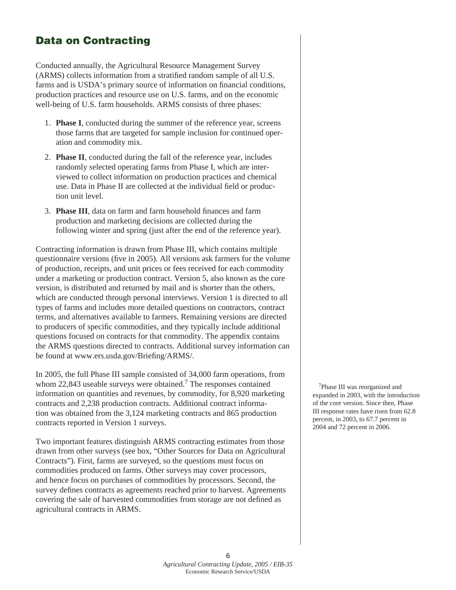## Data on Contracting

Conducted annually, the Agricultural Resource Management Survey (ARMS) collects information from a stratified random sample of all U.S. farms and is USDA's primary source of information on financial conditions, production practices and resource use on U.S. farms, and on the economic well-being of U.S. farm households. ARMS consists of three phases:

- 1. **Phase I**, conducted during the summer of the reference year, screens those farms that are targeted for sample inclusion for continued operation and commodity mix.
- 2. **Phase II**, conducted during the fall of the reference year, includes randomly selected operating farms from Phase I, which are interviewed to collect information on production practices and chemical use. Data in Phase II are collected at the individual field or production unit level.
- 3. **Phase III**, data on farm and farm household finances and farm production and marketing decisions are collected during the following winter and spring (just after the end of the reference year).

Contracting information is drawn from Phase III, which contains multiple questionnaire versions (five in 2005). All versions ask farmers for the volume of production, receipts, and unit prices or fees received for each commodity under a marketing or production contract. Version 5, also known as the core version, is distributed and returned by mail and is shorter than the others, which are conducted through personal interviews. Version 1 is directed to all types of farms and includes more detailed questions on contractors, contract terms, and alternatives available to farmers. Remaining versions are directed to producers of specific commodities, and they typically include additional questions focused on contracts for that commodity. The appendix contains the ARMS questions directed to contracts. Additional survey information can be found at www.ers.usda.gov/Briefing/ARMS/.

In 2005, the full Phase III sample consisted of 34,000 farm operations, from whom 22,843 useable surveys were obtained.<sup>7</sup> The responses contained information on quantities and revenues, by commodity, for 8,920 marketing contracts and 2,238 production contracts. Additional contract information was obtained from the 3,124 marketing contracts and 865 production contracts reported in Version 1 surveys.

Two important features distinguish ARMS contracting estimates from those drawn from other surveys (see box, "Other Sources for Data on Agricultural Contracts"). First, farms are surveyed, so the questions must focus on commodities produced on farms. Other surveys may cover processors, and hence focus on purchases of commodities by processors. Second, the survey defines contracts as agreements reached prior to harvest. Agreements covering the sale of harvested commodities from storage are not defined as agricultural contracts in ARMS.

7Phase III was reorganized and expanded in 2003, with the introduction of the core version. Since then, Phase III response rates have risen from 62.8 percent, in 2003, to 67.7 percent in 2004 and 72 percent in 2006.